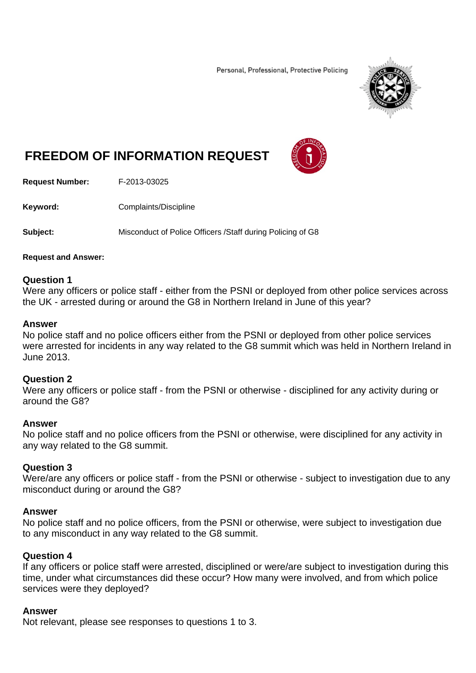Personal, Professional, Protective Policing



# **FREEDOM OF INFORMATION REQUEST**



**Request Number:** F-2013-03025

**Keyword: Complaints/Discipline** 

**Subject:** Misconduct of Police Officers /Staff during Policing of G8

#### **Request and Answer:**

#### **Question 1**

Were any officers or police staff - either from the PSNI or deployed from other police services across the UK - arrested during or around the G8 in Northern Ireland in June of this year?

#### **Answer**

No police staff and no police officers either from the PSNI or deployed from other police services were arrested for incidents in any way related to the G8 summit which was held in Northern Ireland in June 2013.

## **Question 2**

Were any officers or police staff - from the PSNI or otherwise - disciplined for any activity during or around the G8?

## **Answer**

No police staff and no police officers from the PSNI or otherwise, were disciplined for any activity in any way related to the G8 summit.

## **Question 3**

Were/are any officers or police staff - from the PSNI or otherwise - subject to investigation due to any misconduct during or around the G8?

## **Answer**

No police staff and no police officers, from the PSNI or otherwise, were subject to investigation due to any misconduct in any way related to the G8 summit.

## **Question 4**

If any officers or police staff were arrested, disciplined or were/are subject to investigation during this time, under what circumstances did these occur? How many were involved, and from which police services were they deployed?

## **Answer**

Not relevant, please see responses to questions 1 to 3.